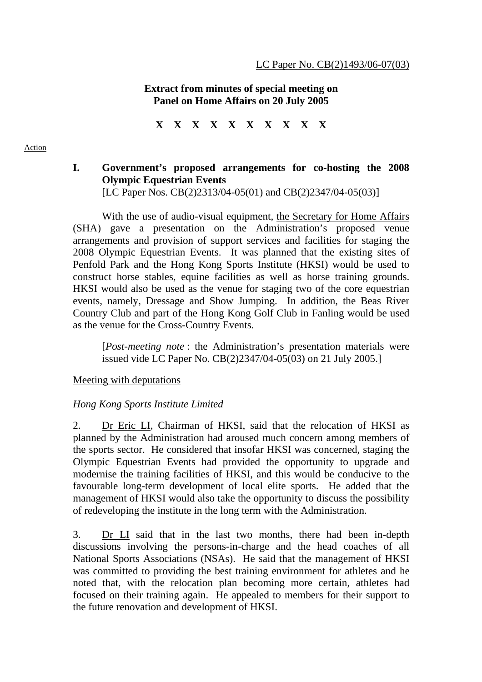### **Extract from minutes of special meeting on Panel on Home Affairs on 20 July 2005**

**X X X X X X X X X X** 

#### Action

# **I. Government's proposed arrangements for co-hosting the 2008 Olympic Equestrian Events**

[LC Paper Nos. CB(2)2313/04-05(01) and CB(2)2347/04-05(03)]

With the use of audio-visual equipment, the Secretary for Home Affairs (SHA) gave a presentation on the Administration's proposed venue arrangements and provision of support services and facilities for staging the 2008 Olympic Equestrian Events. It was planned that the existing sites of Penfold Park and the Hong Kong Sports Institute (HKSI) would be used to construct horse stables, equine facilities as well as horse training grounds. HKSI would also be used as the venue for staging two of the core equestrian events, namely, Dressage and Show Jumping. In addition, the Beas River Country Club and part of the Hong Kong Golf Club in Fanling would be used as the venue for the Cross-Country Events.

[*Post-meeting note* : the Administration's presentation materials were issued vide LC Paper No. CB(2)2347/04-05(03) on 21 July 2005.]

#### Meeting with deputations

#### *Hong Kong Sports Institute Limited*

2. Dr Eric LI, Chairman of HKSI, said that the relocation of HKSI as planned by the Administration had aroused much concern among members of the sports sector. He considered that insofar HKSI was concerned, staging the Olympic Equestrian Events had provided the opportunity to upgrade and modernise the training facilities of HKSI, and this would be conducive to the favourable long-term development of local elite sports. He added that the management of HKSI would also take the opportunity to discuss the possibility of redeveloping the institute in the long term with the Administration.

3. Dr LI said that in the last two months, there had been in-depth discussions involving the persons-in-charge and the head coaches of all National Sports Associations (NSAs). He said that the management of HKSI was committed to providing the best training environment for athletes and he noted that, with the relocation plan becoming more certain, athletes had focused on their training again. He appealed to members for their support to the future renovation and development of HKSI.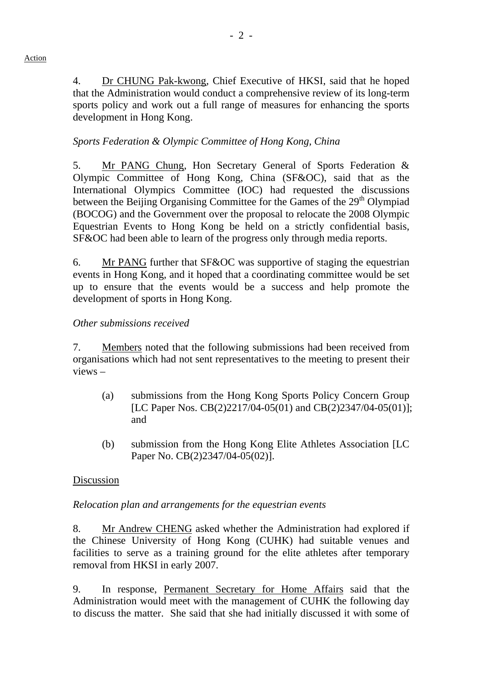4. Dr CHUNG Pak-kwong, Chief Executive of HKSI, said that he hoped that the Administration would conduct a comprehensive review of its long-term sports policy and work out a full range of measures for enhancing the sports development in Hong Kong.

# *Sports Federation & Olympic Committee of Hong Kong, China*

5. Mr PANG Chung, Hon Secretary General of Sports Federation & Olympic Committee of Hong Kong, China (SF&OC), said that as the International Olympics Committee (IOC) had requested the discussions between the Beijing Organising Committee for the Games of the 29<sup>th</sup> Olympiad (BOCOG) and the Government over the proposal to relocate the 2008 Olympic Equestrian Events to Hong Kong be held on a strictly confidential basis, SF&OC had been able to learn of the progress only through media reports.

6. Mr PANG further that SF&OC was supportive of staging the equestrian events in Hong Kong, and it hoped that a coordinating committee would be set up to ensure that the events would be a success and help promote the development of sports in Hong Kong.

## *Other submissions received*

7. Members noted that the following submissions had been received from organisations which had not sent representatives to the meeting to present their views –

- (a) submissions from the Hong Kong Sports Policy Concern Group [LC Paper Nos. CB(2)2217/04-05(01) and CB(2)2347/04-05(01)]; and
- (b) submission from the Hong Kong Elite Athletes Association [LC Paper No. CB(2)2347/04-05(02)].

## Discussion

## *Relocation plan and arrangements for the equestrian events*

8. Mr Andrew CHENG asked whether the Administration had explored if the Chinese University of Hong Kong (CUHK) had suitable venues and facilities to serve as a training ground for the elite athletes after temporary removal from HKSI in early 2007.

9. In response, Permanent Secretary for Home Affairs said that the Administration would meet with the management of CUHK the following day to discuss the matter. She said that she had initially discussed it with some of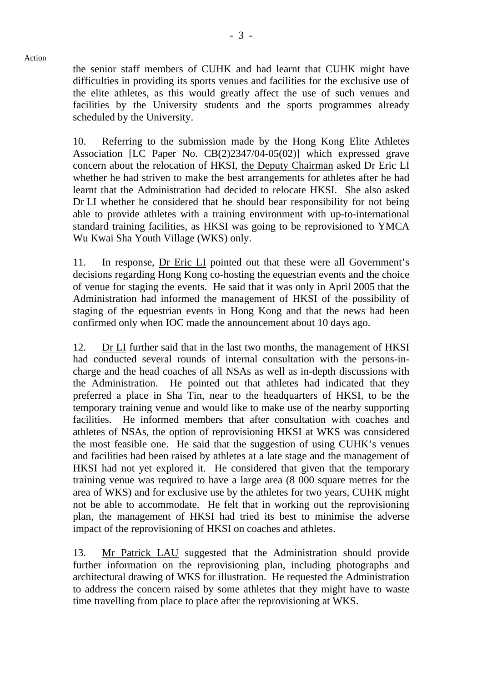Action the senior staff members of CUHK and had learnt that CUHK might have difficulties in providing its sports venues and facilities for the exclusive use of the elite athletes, as this would greatly affect the use of such venues and

scheduled by the University.

10. Referring to the submission made by the Hong Kong Elite Athletes Association [LC Paper No. CB(2)2347/04-05(02)] which expressed grave concern about the relocation of HKSI, the Deputy Chairman asked Dr Eric LI whether he had striven to make the best arrangements for athletes after he had learnt that the Administration had decided to relocate HKSI. She also asked Dr LI whether he considered that he should bear responsibility for not being able to provide athletes with a training environment with up-to-international standard training facilities, as HKSI was going to be reprovisioned to YMCA Wu Kwai Sha Youth Village (WKS) only.

11. In response, Dr Eric LI pointed out that these were all Government's decisions regarding Hong Kong co-hosting the equestrian events and the choice of venue for staging the events. He said that it was only in April 2005 that the Administration had informed the management of HKSI of the possibility of staging of the equestrian events in Hong Kong and that the news had been confirmed only when IOC made the announcement about 10 days ago.

12. Dr LI further said that in the last two months, the management of HKSI had conducted several rounds of internal consultation with the persons-incharge and the head coaches of all NSAs as well as in-depth discussions with the Administration. He pointed out that athletes had indicated that they preferred a place in Sha Tin, near to the headquarters of HKSI, to be the temporary training venue and would like to make use of the nearby supporting facilities. He informed members that after consultation with coaches and athletes of NSAs, the option of reprovisioning HKSI at WKS was considered the most feasible one. He said that the suggestion of using CUHK's venues and facilities had been raised by athletes at a late stage and the management of HKSI had not yet explored it. He considered that given that the temporary training venue was required to have a large area (8 000 square metres for the area of WKS) and for exclusive use by the athletes for two years, CUHK might not be able to accommodate. He felt that in working out the reprovisioning plan, the management of HKSI had tried its best to minimise the adverse impact of the reprovisioning of HKSI on coaches and athletes.

13. Mr Patrick LAU suggested that the Administration should provide further information on the reprovisioning plan, including photographs and architectural drawing of WKS for illustration. He requested the Administration to address the concern raised by some athletes that they might have to waste time travelling from place to place after the reprovisioning at WKS.

facilities by the University students and the sports programmes already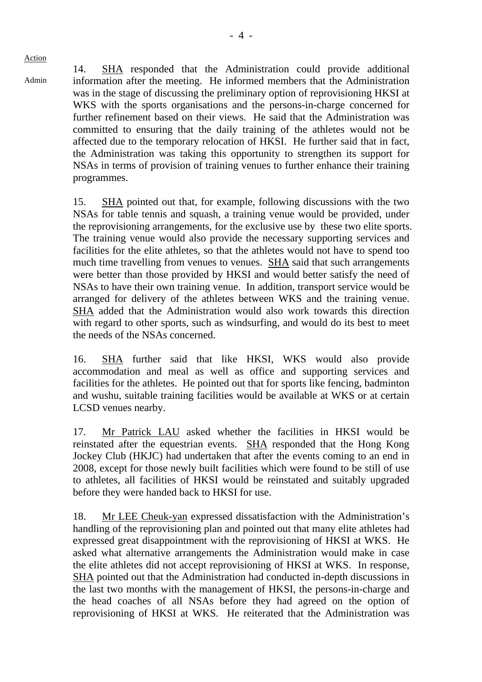Admin

14. SHA responded that the Administration could provide additional information after the meeting. He informed members that the Administration was in the stage of discussing the preliminary option of reprovisioning HKSI at WKS with the sports organisations and the persons-in-charge concerned for further refinement based on their views. He said that the Administration was committed to ensuring that the daily training of the athletes would not be affected due to the temporary relocation of HKSI. He further said that in fact, the Administration was taking this opportunity to strengthen its support for NSAs in terms of provision of training venues to further enhance their training programmes.

15. SHA pointed out that, for example, following discussions with the two NSAs for table tennis and squash, a training venue would be provided, under the reprovisioning arrangements, for the exclusive use by these two elite sports. The training venue would also provide the necessary supporting services and facilities for the elite athletes, so that the athletes would not have to spend too much time travelling from venues to venues. SHA said that such arrangements were better than those provided by HKSI and would better satisfy the need of NSAs to have their own training venue. In addition, transport service would be arranged for delivery of the athletes between WKS and the training venue. SHA added that the Administration would also work towards this direction with regard to other sports, such as windsurfing, and would do its best to meet the needs of the NSAs concerned.

16. SHA further said that like HKSI, WKS would also provide accommodation and meal as well as office and supporting services and facilities for the athletes. He pointed out that for sports like fencing, badminton and wushu, suitable training facilities would be available at WKS or at certain LCSD venues nearby.

17. Mr Patrick LAU asked whether the facilities in HKSI would be reinstated after the equestrian events. SHA responded that the Hong Kong Jockey Club (HKJC) had undertaken that after the events coming to an end in 2008, except for those newly built facilities which were found to be still of use to athletes, all facilities of HKSI would be reinstated and suitably upgraded before they were handed back to HKSI for use.

18. Mr LEE Cheuk-yan expressed dissatisfaction with the Administration's handling of the reprovisioning plan and pointed out that many elite athletes had expressed great disappointment with the reprovisioning of HKSI at WKS. He asked what alternative arrangements the Administration would make in case the elite athletes did not accept reprovisioning of HKSI at WKS. In response, SHA pointed out that the Administration had conducted in-depth discussions in the last two months with the management of HKSI, the persons-in-charge and the head coaches of all NSAs before they had agreed on the option of reprovisioning of HKSI at WKS. He reiterated that the Administration was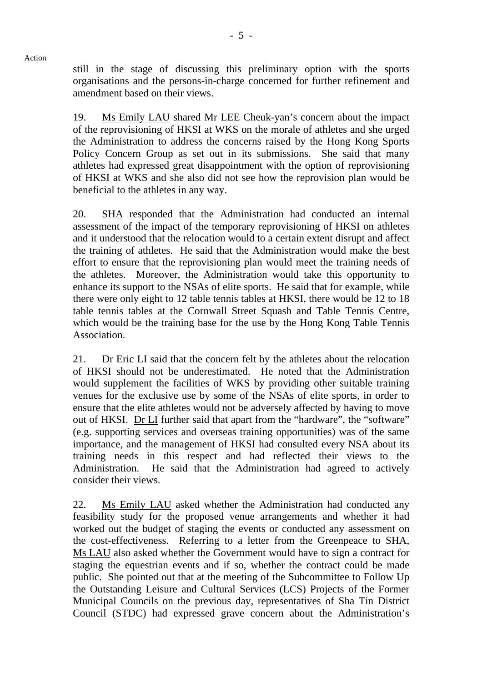still in the stage of discussing this preliminary option with the sports organisations and the persons-in-charge concerned for further refinement and amendment based on their views.

19. Ms Emily LAU shared Mr LEE Cheuk-yan's concern about the impact of the reprovisioning of HKSI at WKS on the morale of athletes and she urged the Administration to address the concerns raised by the Hong Kong Sports Policy Concern Group as set out in its submissions. She said that many athletes had expressed great disappointment with the option of reprovisioning of HKSI at WKS and she also did not see how the reprovision plan would be beneficial to the athletes in any way.

20. SHA responded that the Administration had conducted an internal assessment of the impact of the temporary reprovisioning of HKSI on athletes and it understood that the relocation would to a certain extent disrupt and affect the training of athletes. He said that the Administration would make the best effort to ensure that the reprovisioning plan would meet the training needs of the athletes. Moreover, the Administration would take this opportunity to enhance its support to the NSAs of elite sports. He said that for example, while there were only eight to 12 table tennis tables at HKSI, there would be 12 to 18 table tennis tables at the Cornwall Street Squash and Table Tennis Centre, which would be the training base for the use by the Hong Kong Table Tennis **Association** 

21. Dr Eric LI said that the concern felt by the athletes about the relocation of HKSI should not be underestimated. He noted that the Administration would supplement the facilities of WKS by providing other suitable training venues for the exclusive use by some of the NSAs of elite sports, in order to ensure that the elite athletes would not be adversely affected by having to move out of HKSI. Dr LI further said that apart from the "hardware", the "software" (e.g. supporting services and overseas training opportunities) was of the same importance, and the management of HKSI had consulted every NSA about its training needs in this respect and had reflected their views to the Administration. He said that the Administration had agreed to actively consider their views.

22. Ms Emily LAU asked whether the Administration had conducted any feasibility study for the proposed venue arrangements and whether it had worked out the budget of staging the events or conducted any assessment on the cost-effectiveness. Referring to a letter from the Greenpeace to SHA, Ms LAU also asked whether the Government would have to sign a contract for staging the equestrian events and if so, whether the contract could be made public. She pointed out that at the meeting of the Subcommittee to Follow Up the Outstanding Leisure and Cultural Services (LCS) Projects of the Former Municipal Councils on the previous day, representatives of Sha Tin District Council (STDC) had expressed grave concern about the Administration's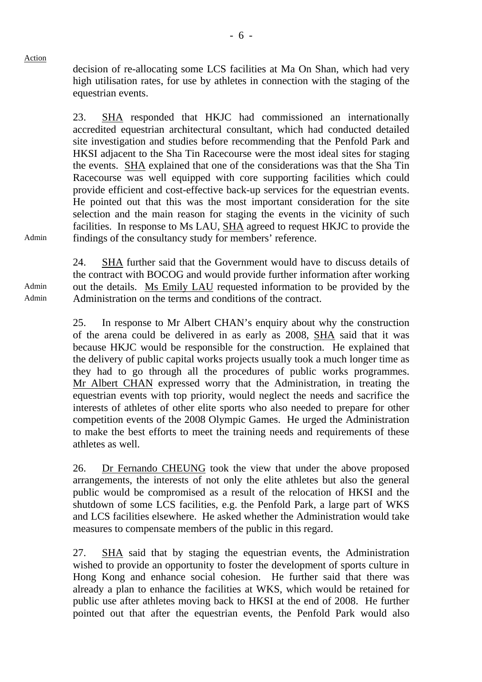Admin

Admin Admin decision of re-allocating some LCS facilities at Ma On Shan, which had very high utilisation rates, for use by athletes in connection with the staging of the equestrian events.

23. SHA responded that HKJC had commissioned an internationally accredited equestrian architectural consultant, which had conducted detailed site investigation and studies before recommending that the Penfold Park and HKSI adjacent to the Sha Tin Racecourse were the most ideal sites for staging the events. SHA explained that one of the considerations was that the Sha Tin Racecourse was well equipped with core supporting facilities which could provide efficient and cost-effective back-up services for the equestrian events. He pointed out that this was the most important consideration for the site selection and the main reason for staging the events in the vicinity of such facilities. In response to Ms LAU, SHA agreed to request HKJC to provide the findings of the consultancy study for members' reference.

24. SHA further said that the Government would have to discuss details of the contract with BOCOG and would provide further information after working out the details. Ms Emily LAU requested information to be provided by the Administration on the terms and conditions of the contract.

25. In response to Mr Albert CHAN's enquiry about why the construction of the arena could be delivered in as early as 2008, SHA said that it was because HKJC would be responsible for the construction. He explained that the delivery of public capital works projects usually took a much longer time as they had to go through all the procedures of public works programmes. Mr Albert CHAN expressed worry that the Administration, in treating the equestrian events with top priority, would neglect the needs and sacrifice the interests of athletes of other elite sports who also needed to prepare for other competition events of the 2008 Olympic Games. He urged the Administration to make the best efforts to meet the training needs and requirements of these athletes as well.

26. Dr Fernando CHEUNG took the view that under the above proposed arrangements, the interests of not only the elite athletes but also the general public would be compromised as a result of the relocation of HKSI and the shutdown of some LCS facilities, e.g. the Penfold Park, a large part of WKS and LCS facilities elsewhere. He asked whether the Administration would take measures to compensate members of the public in this regard.

27. SHA said that by staging the equestrian events, the Administration wished to provide an opportunity to foster the development of sports culture in Hong Kong and enhance social cohesion. He further said that there was already a plan to enhance the facilities at WKS, which would be retained for public use after athletes moving back to HKSI at the end of 2008. He further pointed out that after the equestrian events, the Penfold Park would also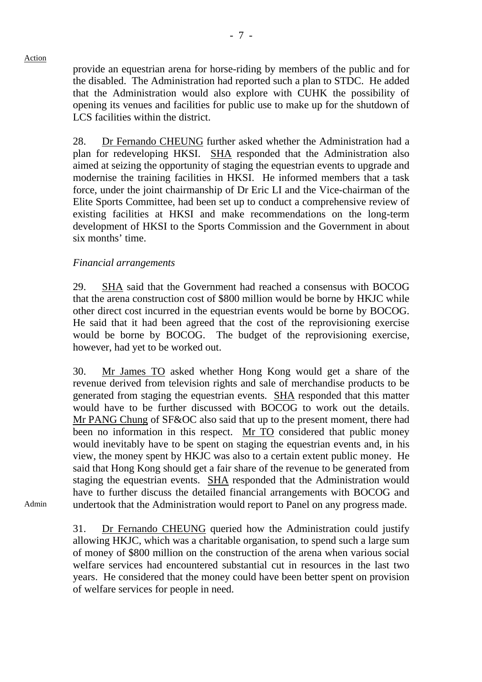provide an equestrian arena for horse-riding by members of the public and for the disabled. The Administration had reported such a plan to STDC. He added that the Administration would also explore with CUHK the possibility of opening its venues and facilities for public use to make up for the shutdown of LCS facilities within the district.

28. Dr Fernando CHEUNG further asked whether the Administration had a plan for redeveloping HKSI. SHA responded that the Administration also aimed at seizing the opportunity of staging the equestrian events to upgrade and modernise the training facilities in HKSI. He informed members that a task force, under the joint chairmanship of Dr Eric LI and the Vice-chairman of the Elite Sports Committee, had been set up to conduct a comprehensive review of existing facilities at HKSI and make recommendations on the long-term development of HKSI to the Sports Commission and the Government in about six months' time.

# *Financial arrangements*

29. SHA said that the Government had reached a consensus with BOCOG that the arena construction cost of \$800 million would be borne by HKJC while other direct cost incurred in the equestrian events would be borne by BOCOG. He said that it had been agreed that the cost of the reprovisioning exercise would be borne by BOCOG. The budget of the reprovisioning exercise, however, had yet to be worked out.

30. Mr James TO asked whether Hong Kong would get a share of the revenue derived from television rights and sale of merchandise products to be generated from staging the equestrian events. SHA responded that this matter would have to be further discussed with BOCOG to work out the details. Mr PANG Chung of SF&OC also said that up to the present moment, there had been no information in this respect. Mr TO considered that public money would inevitably have to be spent on staging the equestrian events and, in his view, the money spent by HKJC was also to a certain extent public money. He said that Hong Kong should get a fair share of the revenue to be generated from staging the equestrian events. SHA responded that the Administration would have to further discuss the detailed financial arrangements with BOCOG and undertook that the Administration would report to Panel on any progress made.

Admin

Action

31. Dr Fernando CHEUNG queried how the Administration could justify allowing HKJC, which was a charitable organisation, to spend such a large sum of money of \$800 million on the construction of the arena when various social welfare services had encountered substantial cut in resources in the last two years. He considered that the money could have been better spent on provision of welfare services for people in need.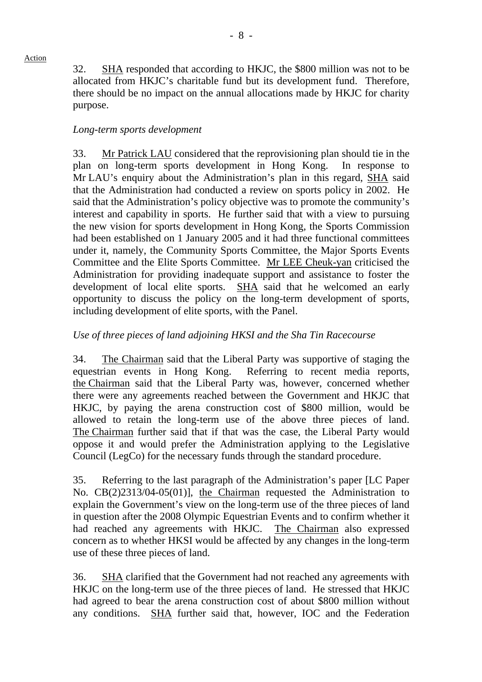32. SHA responded that according to HKJC, the \$800 million was not to be allocated from HKJC's charitable fund but its development fund. Therefore, there should be no impact on the annual allocations made by HKJC for charity purpose.

#### *Long-term sports development*

33. Mr Patrick LAU considered that the reprovisioning plan should tie in the plan on long-term sports development in Hong Kong. In response to Mr LAU's enquiry about the Administration's plan in this regard, SHA said that the Administration had conducted a review on sports policy in 2002. He said that the Administration's policy objective was to promote the community's interest and capability in sports. He further said that with a view to pursuing the new vision for sports development in Hong Kong, the Sports Commission had been established on 1 January 2005 and it had three functional committees under it, namely, the Community Sports Committee, the Major Sports Events Committee and the Elite Sports Committee. Mr LEE Cheuk-yan criticised the Administration for providing inadequate support and assistance to foster the development of local elite sports. SHA said that he welcomed an early opportunity to discuss the policy on the long-term development of sports, including development of elite sports, with the Panel.

### *Use of three pieces of land adjoining HKSI and the Sha Tin Racecourse*

34. The Chairman said that the Liberal Party was supportive of staging the equestrian events in Hong Kong. Referring to recent media reports, the Chairman said that the Liberal Party was, however, concerned whether there were any agreements reached between the Government and HKJC that HKJC, by paying the arena construction cost of \$800 million, would be allowed to retain the long-term use of the above three pieces of land. The Chairman further said that if that was the case, the Liberal Party would oppose it and would prefer the Administration applying to the Legislative Council (LegCo) for the necessary funds through the standard procedure.

35. Referring to the last paragraph of the Administration's paper [LC Paper No. CB(2)2313/04-05(01)], the Chairman requested the Administration to explain the Government's view on the long-term use of the three pieces of land in question after the 2008 Olympic Equestrian Events and to confirm whether it had reached any agreements with HKJC. The Chairman also expressed concern as to whether HKSI would be affected by any changes in the long-term use of these three pieces of land.

36. SHA clarified that the Government had not reached any agreements with HKJC on the long-term use of the three pieces of land. He stressed that HKJC had agreed to bear the arena construction cost of about \$800 million without any conditions. SHA further said that, however, IOC and the Federation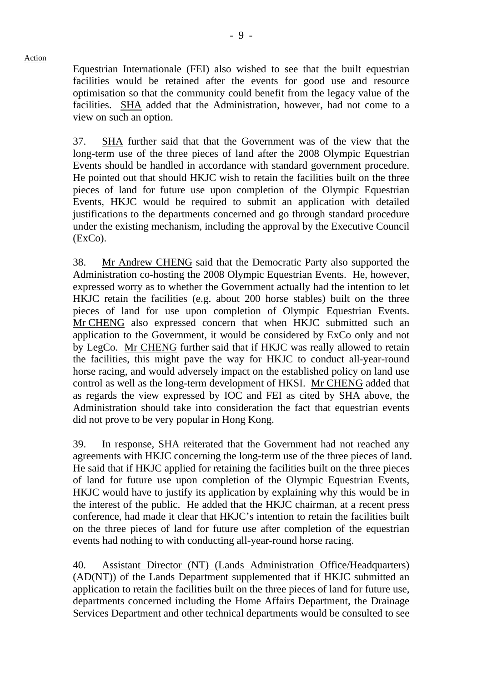Equestrian Internationale (FEI) also wished to see that the built equestrian facilities would be retained after the events for good use and resource optimisation so that the community could benefit from the legacy value of the facilities. SHA added that the Administration, however, had not come to a view on such an option.

37. SHA further said that that the Government was of the view that the long-term use of the three pieces of land after the 2008 Olympic Equestrian Events should be handled in accordance with standard government procedure. He pointed out that should HKJC wish to retain the facilities built on the three pieces of land for future use upon completion of the Olympic Equestrian Events, HKJC would be required to submit an application with detailed justifications to the departments concerned and go through standard procedure under the existing mechanism, including the approval by the Executive Council (ExCo).

38. Mr Andrew CHENG said that the Democratic Party also supported the Administration co-hosting the 2008 Olympic Equestrian Events. He, however, expressed worry as to whether the Government actually had the intention to let HKJC retain the facilities (e.g. about 200 horse stables) built on the three pieces of land for use upon completion of Olympic Equestrian Events. Mr CHENG also expressed concern that when HKJC submitted such an application to the Government, it would be considered by ExCo only and not by LegCo. Mr CHENG further said that if HKJC was really allowed to retain the facilities, this might pave the way for HKJC to conduct all-year-round horse racing, and would adversely impact on the established policy on land use control as well as the long-term development of HKSI. Mr CHENG added that as regards the view expressed by IOC and FEI as cited by SHA above, the Administration should take into consideration the fact that equestrian events did not prove to be very popular in Hong Kong.

39. In response, SHA reiterated that the Government had not reached any agreements with HKJC concerning the long-term use of the three pieces of land. He said that if HKJC applied for retaining the facilities built on the three pieces of land for future use upon completion of the Olympic Equestrian Events, HKJC would have to justify its application by explaining why this would be in the interest of the public. He added that the HKJC chairman, at a recent press conference, had made it clear that HKJC's intention to retain the facilities built on the three pieces of land for future use after completion of the equestrian events had nothing to with conducting all-year-round horse racing.

40. Assistant Director (NT) (Lands Administration Office/Headquarters) (AD(NT)) of the Lands Department supplemented that if HKJC submitted an application to retain the facilities built on the three pieces of land for future use, departments concerned including the Home Affairs Department, the Drainage Services Department and other technical departments would be consulted to see